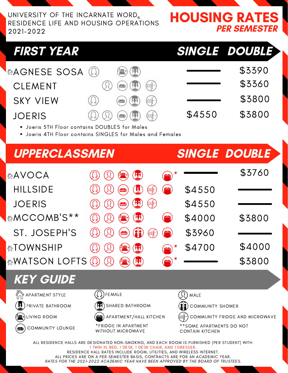UNIVERSITY OF THE INCARNATE WORD RESIDENCE LIFE AND HOUSING OPERATIONS 2021-2022

HOUSING RATES PER SEMESTER

## FIRST YEAR SINGLE DOUBLE

 $CLEMENT$   $\qquad$   $\qquad$   $\qquad$   $\qquad$   $\qquad$   $\qquad$   $\qquad$   $\qquad$   $\qquad$   $\qquad$   $\qquad$   $\qquad$   $\qquad$   $\qquad$   $\qquad$   $\qquad$   $\qquad$   $\qquad$   $\qquad$   $\qquad$   $\qquad$   $\qquad$   $\qquad$   $\qquad$   $\qquad$   $\qquad$   $\qquad$   $\qquad$   $\qquad$   $\qquad$   $\qquad$   $\qquad$   $\qquad$   $\qquad$   $\qquad$   $\qquad$  JOERIS  $\bigcirc \bigcirc \bigcirc \bigcirc \bigcirc \bigcirc \bigcirc \bigcirc$  \$4550 \$3800  $SKY$  VIEW  $\qquad$   $\qquad$   $\qquad$   $\qquad$   $\qquad$   $\qquad$   $\qquad$   $\qquad$   $\qquad$   $\qquad$   $\qquad$   $\qquad$   $\qquad$   $\qquad$   $\qquad$   $\qquad$   $\qquad$   $\qquad$   $\qquad$   $\qquad$   $\qquad$   $\qquad$   $\qquad$   $\qquad$   $\qquad$   $\qquad$   $\qquad$   $\qquad$   $\qquad$   $\qquad$   $\qquad$   $\qquad$   $\qquad$   $\qquad$   $\qquad$  **おAGNESE SOSA (① ● (H) \$3390** 

- Joeris 5TH Floor contains DOUBLES for Males
- Joeris 4TH Floor contains SINGLES for Males and Females

# UPPERCLASSMEN HILLSIDE  $\qquad \qquad \textcircled{R} \qquad \qquad \textcircled{R} \qquad \textcircled{H} \qquad \textcircled{H} \qquad \textcircled{S} \qquad \textcircled{S} \qquad \textcircled{S}$ ST. JOSEPH'S  $\left(\Omega\right)\left(\Omega\right)$   $\left(\blacksquare\right)\left(\blacksquare\right)$   $\left(\blacksquare\right)\left(\blacksquare\right)$  \$3960 SINGLE DOUBLE  $\begin{array}{cccc} \text{AVOCA} & \textcircled{1} & \textcircled{1} & \textcircled{2} & \textcircled{4} \\ \textcircled{2} & \textcircled{3} & \textcircled{4} & \textcircled{4} & \textcircled{5} & \textcircled{5} \end{array}$ *☆***MCCOMB'S\*\*** ① ① (<del>1)</del> (1) (1) \$4000 \$3800 **ATOWNSHIP** (2) (2) (2) (2) (2) (3) (3) \$4700 \$4000  $\mathbb{R}$ WATSON LOFTS  $\mathbb{Q}$   $\mathbb{Q}$   $\mathbb{R}$   $\mathbb{H}$   $\mathbb{R}$   $\mathbb{R}$   $\mathbb{R}$   $\mathbb{R}$   $\mathbb{R}$   $\mathbb{R}$   $\mathbb{R}$   $\mathbb{R}$   $\mathbb{R}$   $\mathbb{R}$   $\mathbb{R}$   $\mathbb{R}$   $\mathbb{R}$   $\mathbb{R}$   $\mathbb{R}$   $\mathbb{R}$   $\mathbb{R}$   $\mathbb{R}$   $\$  $JOERIS$   $\qquad$   $\qquad$   $\qquad$   $\qquad$   $\qquad$   $\qquad$   $\qquad$   $\qquad$   $\qquad$   $\qquad$   $\qquad$   $\qquad$   $\qquad$   $\qquad$   $\qquad$   $\qquad$   $\qquad$   $\qquad$   $\qquad$   $\qquad$   $\qquad$   $\qquad$   $\qquad$   $\qquad$   $\qquad$   $\qquad$   $\qquad$   $\qquad$   $\qquad$   $\qquad$   $\qquad$   $\qquad$   $\qquad$   $\qquad$   $\qquad$   $\qquad$

### KEY GUIDE



PRIVATE BATHROOM



COMMUNITY LOUNGE









\*FRIDGE IN APARTMENT WITHOUT MICROWAVE



COMMUNITY SHOWER

COMMUNITY FRIDGE AND MICROWAVE

\*\*SOME APARTMENTS DO NOT CONTAIN KITCHEN

ALL RESIDENCE HALLS ARE DESIGNATED NON-SMOKING, AND EACH ROOM IS FURNISHED (PER STUDENT) WITH: 1 TWIN XL BED, 1 DESK, 1 DESK CHAIR, AND 1 DRESSER. RESIDENCE HALL RATES INCLUDE ROOM, UTILITIES, AND WIRELESS INTERNET. ALL PRICES ARE ON A PER SEMESTER BASIS, CONTRACTS ARE FOR AN ACADEMIC YEAR. RATES FOR THE 2021-2022 ACADEMIC YEAR HAVE BEEN APPROVED BY THE BOARD OF TRUSTEES.